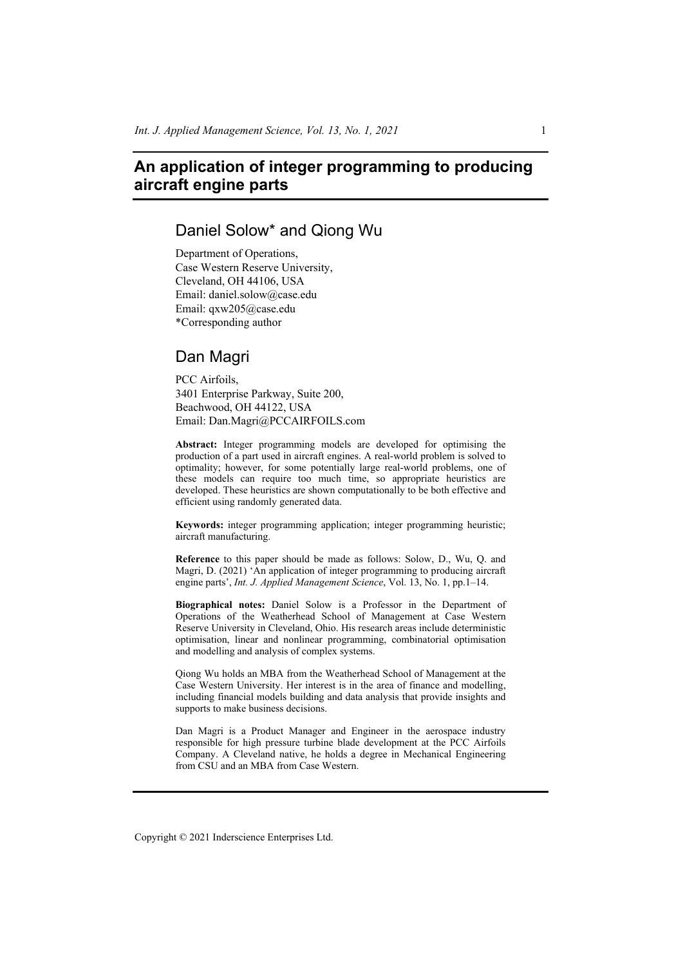# **An application of integer programming to producing aircraft engine parts**

# Daniel Solow\* and Qiong Wu

Department of Operations, Case Western Reserve University, Cleveland, OH 44106, USA Email: daniel.solow@case.edu Email: qxw205@case.edu \*Corresponding author

# Dan Magri

PCC Airfoils, 3401 Enterprise Parkway, Suite 200, Beachwood, OH 44122, USA Email: Dan.Magri@PCCAIRFOILS.com

**Abstract:** Integer programming models are developed for optimising the production of a part used in aircraft engines. A real-world problem is solved to optimality; however, for some potentially large real-world problems, one of these models can require too much time, so appropriate heuristics are developed. These heuristics are shown computationally to be both effective and efficient using randomly generated data.

**Keywords:** integer programming application; integer programming heuristic; aircraft manufacturing.

**Reference** to this paper should be made as follows: Solow, D., Wu, Q. and Magri, D. (2021) 'An application of integer programming to producing aircraft engine parts', *Int. J. Applied Management Science*, Vol. 13, No. 1, pp.1–14.

**Biographical notes:** Daniel Solow is a Professor in the Department of Operations of the Weatherhead School of Management at Case Western Reserve University in Cleveland, Ohio. His research areas include deterministic optimisation, linear and nonlinear programming, combinatorial optimisation and modelling and analysis of complex systems.

Qiong Wu holds an MBA from the Weatherhead School of Management at the Case Western University. Her interest is in the area of finance and modelling, including financial models building and data analysis that provide insights and supports to make business decisions.

Dan Magri is a Product Manager and Engineer in the aerospace industry responsible for high pressure turbine blade development at the PCC Airfoils Company. A Cleveland native, he holds a degree in Mechanical Engineering from CSU and an MBA from Case Western.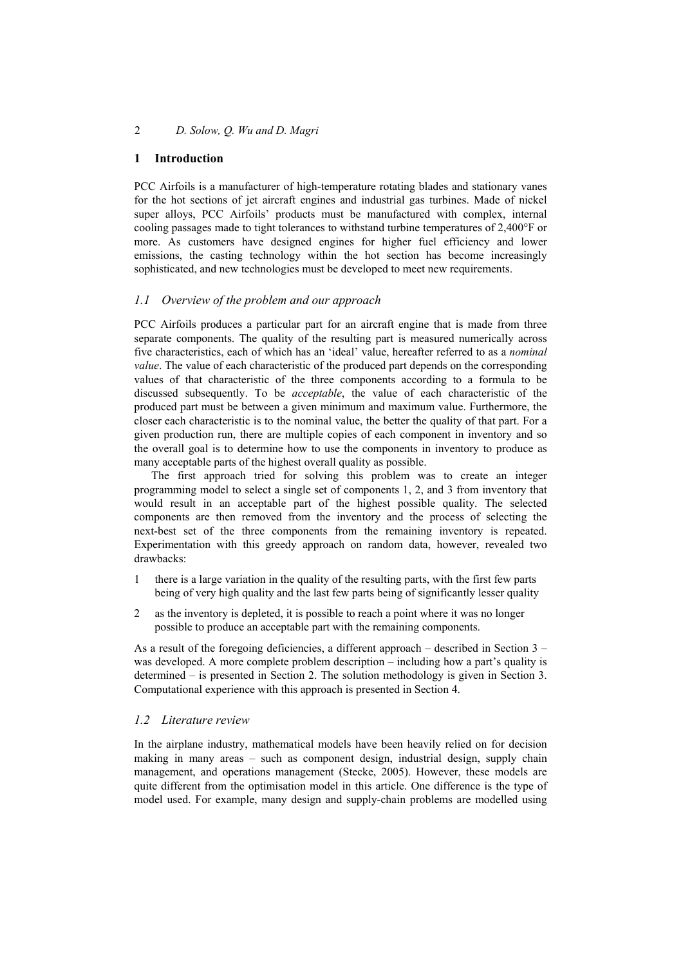## **1 Introduction**

PCC Airfoils is a manufacturer of high-temperature rotating blades and stationary vanes for the hot sections of jet aircraft engines and industrial gas turbines. Made of nickel super alloys, PCC Airfoils' products must be manufactured with complex, internal cooling passages made to tight tolerances to withstand turbine temperatures of 2,400°F or more. As customers have designed engines for higher fuel efficiency and lower emissions, the casting technology within the hot section has become increasingly sophisticated, and new technologies must be developed to meet new requirements.

## *1.1 Overview of the problem and our approach*

PCC Airfoils produces a particular part for an aircraft engine that is made from three separate components. The quality of the resulting part is measured numerically across five characteristics, each of which has an 'ideal' value, hereafter referred to as a *nominal value*. The value of each characteristic of the produced part depends on the corresponding values of that characteristic of the three components according to a formula to be discussed subsequently. To be *acceptable*, the value of each characteristic of the produced part must be between a given minimum and maximum value. Furthermore, the closer each characteristic is to the nominal value, the better the quality of that part. For a given production run, there are multiple copies of each component in inventory and so the overall goal is to determine how to use the components in inventory to produce as many acceptable parts of the highest overall quality as possible.

The first approach tried for solving this problem was to create an integer programming model to select a single set of components 1, 2, and 3 from inventory that would result in an acceptable part of the highest possible quality. The selected components are then removed from the inventory and the process of selecting the next-best set of the three components from the remaining inventory is repeated. Experimentation with this greedy approach on random data, however, revealed two drawbacks:

- 1 there is a large variation in the quality of the resulting parts, with the first few parts being of very high quality and the last few parts being of significantly lesser quality
- 2 as the inventory is depleted, it is possible to reach a point where it was no longer possible to produce an acceptable part with the remaining components.

As a result of the foregoing deficiencies, a different approach – described in Section 3 – was developed. A more complete problem description – including how a part's quality is determined – is presented in Section 2. The solution methodology is given in Section 3. Computational experience with this approach is presented in Section 4.

## *1.2 Literature review*

In the airplane industry, mathematical models have been heavily relied on for decision making in many areas – such as component design, industrial design, supply chain management, and operations management (Stecke, 2005). However, these models are quite different from the optimisation model in this article. One difference is the type of model used. For example, many design and supply-chain problems are modelled using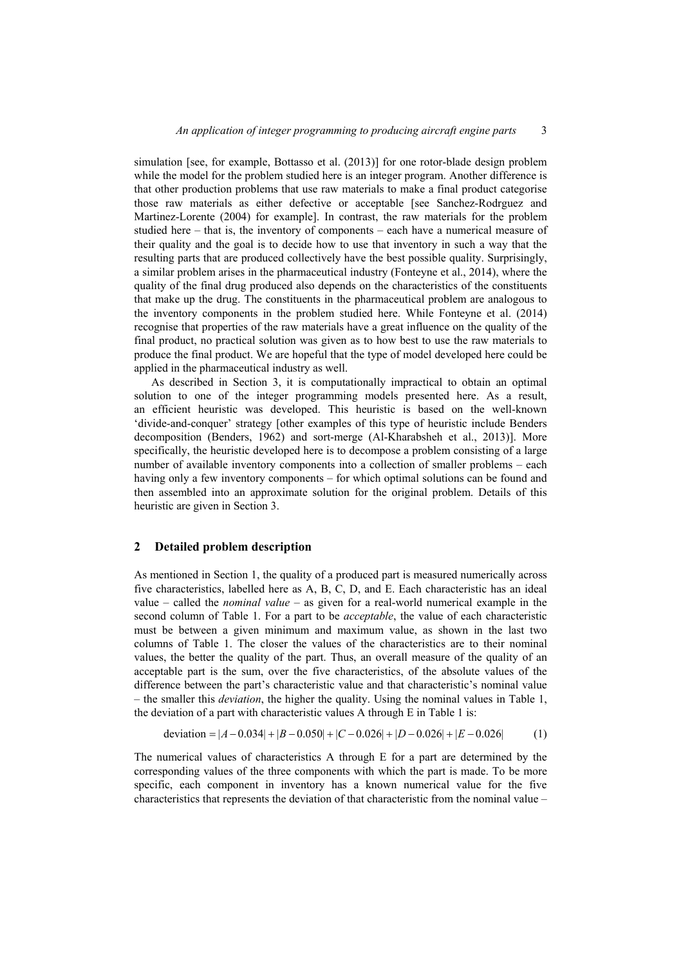simulation [see, for example, Bottasso et al. (2013)] for one rotor-blade design problem while the model for the problem studied here is an integer program. Another difference is that other production problems that use raw materials to make a final product categorise those raw materials as either defective or acceptable [see Sanchez-Rodrguez and Martinez-Lorente (2004) for example]. In contrast, the raw materials for the problem studied here – that is, the inventory of components – each have a numerical measure of their quality and the goal is to decide how to use that inventory in such a way that the resulting parts that are produced collectively have the best possible quality. Surprisingly, a similar problem arises in the pharmaceutical industry (Fonteyne et al., 2014), where the quality of the final drug produced also depends on the characteristics of the constituents that make up the drug. The constituents in the pharmaceutical problem are analogous to the inventory components in the problem studied here. While Fonteyne et al. (2014) recognise that properties of the raw materials have a great influence on the quality of the final product, no practical solution was given as to how best to use the raw materials to produce the final product. We are hopeful that the type of model developed here could be applied in the pharmaceutical industry as well.

As described in Section 3, it is computationally impractical to obtain an optimal solution to one of the integer programming models presented here. As a result, an efficient heuristic was developed. This heuristic is based on the well-known 'divide-and-conquer' strategy [other examples of this type of heuristic include Benders decomposition (Benders, 1962) and sort-merge (Al-Kharabsheh et al., 2013)]. More specifically, the heuristic developed here is to decompose a problem consisting of a large number of available inventory components into a collection of smaller problems – each having only a few inventory components – for which optimal solutions can be found and then assembled into an approximate solution for the original problem. Details of this heuristic are given in Section 3.

#### **2 Detailed problem description**

As mentioned in Section 1, the quality of a produced part is measured numerically across five characteristics, labelled here as A, B, C, D, and E. Each characteristic has an ideal value – called the *nominal value* – as given for a real-world numerical example in the second column of Table 1. For a part to be *acceptable*, the value of each characteristic must be between a given minimum and maximum value, as shown in the last two columns of Table 1. The closer the values of the characteristics are to their nominal values, the better the quality of the part. Thus, an overall measure of the quality of an acceptable part is the sum, over the five characteristics, of the absolute values of the difference between the part's characteristic value and that characteristic's nominal value – the smaller this *deviation*, the higher the quality. Using the nominal values in Table 1, the deviation of a part with characteristic values A through E in Table 1 is:

deviation = 
$$
|A - 0.034| + |B - 0.050| + |C - 0.026| + |D - 0.026| + |E - 0.026|
$$
 (1)

The numerical values of characteristics A through E for a part are determined by the corresponding values of the three components with which the part is made. To be more specific, each component in inventory has a known numerical value for the five characteristics that represents the deviation of that characteristic from the nominal value –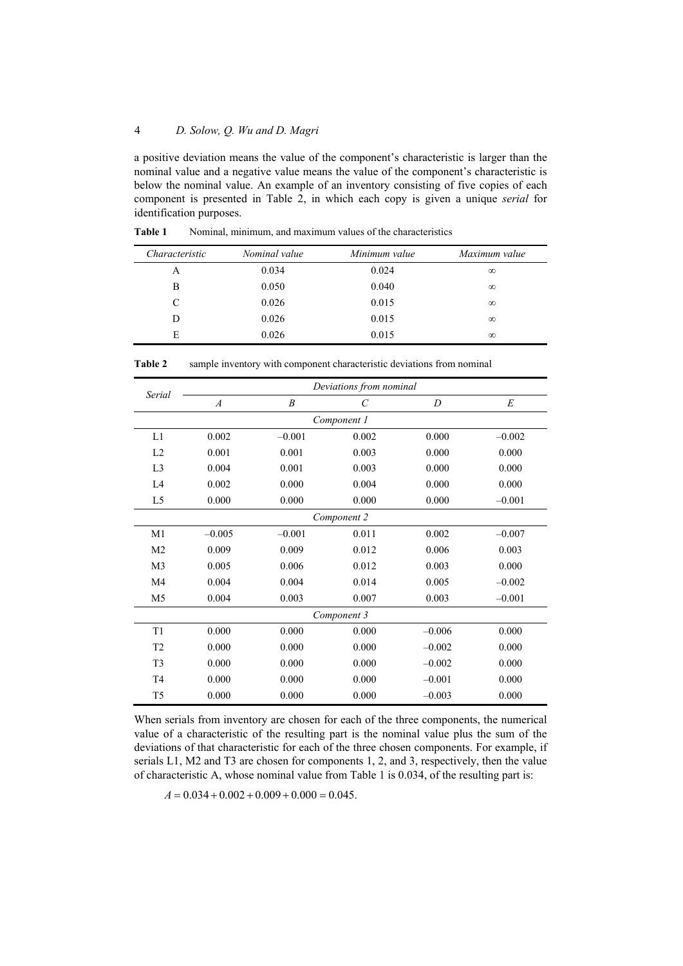a positive deviation means the value of the component's characteristic is larger than the nominal value and a negative value means the value of the component's characteristic is below the nominal value. An example of an inventory consisting of five copies of each component is presented in Table 2, in which each copy is given a unique *serial* for identification purposes.

| Characteristic | Nominal value | Minimum value | Maximum value |
|----------------|---------------|---------------|---------------|
| A              | 0.034         | 0.024         | $\infty$      |
| B              | 0.050         | 0.040         | $\infty$      |
| C              | 0.026         | 0.015         | $\infty$      |
| D              | 0.026         | 0.015         | $\infty$      |
| E              | 0.026         | 0.015         | $\infty$      |

**Table 1** Nominal, minimum, and maximum values of the characteristics

|                | Deviations from nominal |                  |             |          |          |  |  |  |
|----------------|-------------------------|------------------|-------------|----------|----------|--|--|--|
| Serial         | $\overline{A}$          | $\boldsymbol{B}$ | $\,c\,$     | D        | E        |  |  |  |
|                |                         |                  | Component 1 |          |          |  |  |  |
| L1             | 0.002                   | $-0.001$         | 0.002       | 0.000    | $-0.002$ |  |  |  |
| L2             | 0.001                   | 0.001            | 0.003       | 0.000    | 0.000    |  |  |  |
| L <sub>3</sub> | 0.004                   | 0.001            | 0.003       | 0.000    | 0.000    |  |  |  |
| IA             | 0.002                   | 0.000            | 0.004       | 0.000    | 0.000    |  |  |  |
| L <sub>5</sub> | 0.000                   | 0.000            | 0.000       | 0.000    | $-0.001$ |  |  |  |
|                | Component 2             |                  |             |          |          |  |  |  |
| M1             | $-0.005$                | $-0.001$         | 0.011       | 0.002    | $-0.007$ |  |  |  |
| M <sub>2</sub> | 0.009                   | 0.009            | 0.012       | 0.006    | 0.003    |  |  |  |
| M <sub>3</sub> | 0.005                   | 0.006            | 0.012       | 0.003    | 0.000    |  |  |  |
| M <sub>4</sub> | 0.004                   | 0.004            | 0.014       | 0.005    | $-0.002$ |  |  |  |
| M <sub>5</sub> | 0.004                   | 0.003            | 0.007       | 0.003    | $-0.001$ |  |  |  |
|                |                         |                  | Component 3 |          |          |  |  |  |
| T <sub>1</sub> | 0.000                   | 0.000            | 0.000       | $-0.006$ | 0.000    |  |  |  |
| T2             | 0.000                   | 0.000            | 0.000       | $-0.002$ | 0.000    |  |  |  |
| T <sub>3</sub> | 0.000                   | 0.000            | 0.000       | $-0.002$ | 0.000    |  |  |  |
| T <sub>4</sub> | 0.000                   | 0.000            | 0.000       | $-0.001$ | 0.000    |  |  |  |
| T <sub>5</sub> | 0.000                   | 0.000            | 0.000       | $-0.003$ | 0.000    |  |  |  |

**Table 2** sample inventory with component characteristic deviations from nominal

When serials from inventory are chosen for each of the three components, the numerical value of a characteristic of the resulting part is the nominal value plus the sum of the deviations of that characteristic for each of the three chosen components. For example, if serials L1, M2 and T3 are chosen for components 1, 2, and 3, respectively, then the value of characteristic A, whose nominal value from Table 1 is 0.034, of the resulting part is:

 $A = 0.034 + 0.002 + 0.009 + 0.000 = 0.045.$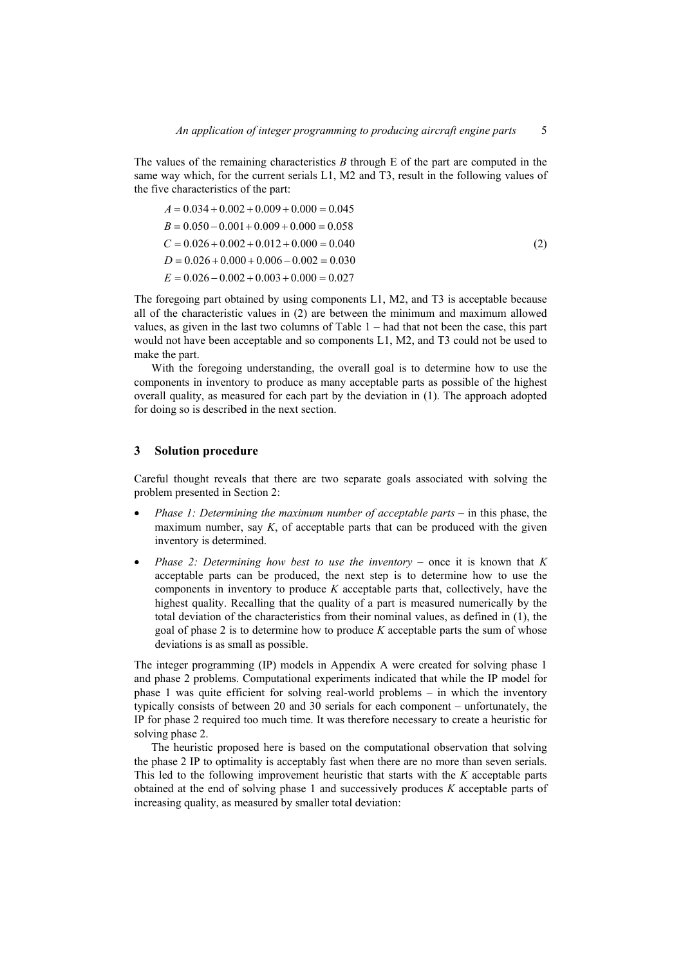The values of the remaining characteristics *B* through E of the part are computed in the same way which, for the current serials L1, M2 and T3, result in the following values of the five characteristics of the part:

$$
A = 0.034 + 0.002 + 0.009 + 0.000 = 0.045
$$
  
\n
$$
B = 0.050 - 0.001 + 0.009 + 0.000 = 0.058
$$
  
\n
$$
C = 0.026 + 0.002 + 0.012 + 0.000 = 0.040
$$
  
\n
$$
D = 0.026 + 0.000 + 0.006 - 0.002 = 0.030
$$
  
\n
$$
E = 0.026 - 0.002 + 0.003 + 0.000 = 0.027
$$
\n(2)

The foregoing part obtained by using components L1, M2, and T3 is acceptable because all of the characteristic values in (2) are between the minimum and maximum allowed values, as given in the last two columns of Table 1 – had that not been the case, this part would not have been acceptable and so components L1, M2, and T3 could not be used to make the part.

With the foregoing understanding, the overall goal is to determine how to use the components in inventory to produce as many acceptable parts as possible of the highest overall quality, as measured for each part by the deviation in (1). The approach adopted for doing so is described in the next section.

#### **3 Solution procedure**

Careful thought reveals that there are two separate goals associated with solving the problem presented in Section 2:

- *Phase 1: Determining the maximum number of acceptable parts* in this phase, the maximum number, say  $K$ , of acceptable parts that can be produced with the given inventory is determined.
- *Phase 2: Determining how best to use the inventory* once it is known that *K* acceptable parts can be produced, the next step is to determine how to use the components in inventory to produce *K* acceptable parts that, collectively, have the highest quality. Recalling that the quality of a part is measured numerically by the total deviation of the characteristics from their nominal values, as defined in (1), the goal of phase 2 is to determine how to produce *K* acceptable parts the sum of whose deviations is as small as possible.

The integer programming (IP) models in Appendix A were created for solving phase 1 and phase 2 problems. Computational experiments indicated that while the IP model for phase 1 was quite efficient for solving real-world problems – in which the inventory typically consists of between 20 and 30 serials for each component – unfortunately, the IP for phase 2 required too much time. It was therefore necessary to create a heuristic for solving phase 2.

The heuristic proposed here is based on the computational observation that solving the phase 2 IP to optimality is acceptably fast when there are no more than seven serials. This led to the following improvement heuristic that starts with the *K* acceptable parts obtained at the end of solving phase 1 and successively produces *K* acceptable parts of increasing quality, as measured by smaller total deviation: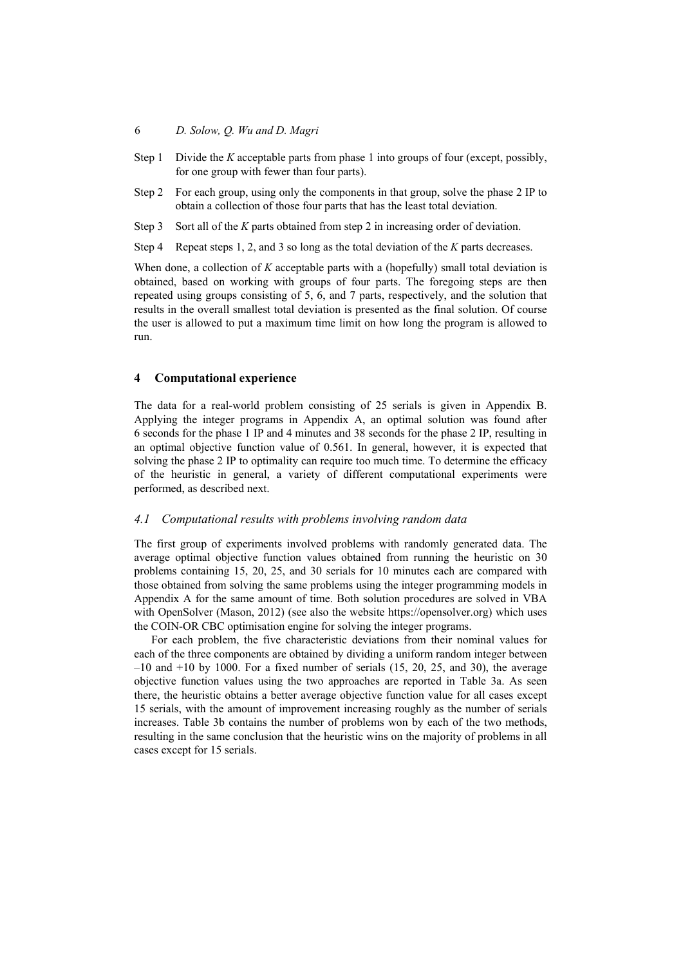- Step 1 Divide the *K* acceptable parts from phase 1 into groups of four (except, possibly, for one group with fewer than four parts).
- Step 2 For each group, using only the components in that group, solve the phase 2 IP to obtain a collection of those four parts that has the least total deviation.
- Step 3 Sort all of the *K* parts obtained from step 2 in increasing order of deviation.

Step 4 Repeat steps 1, 2, and 3 so long as the total deviation of the *K* parts decreases.

When done, a collection of *K* acceptable parts with a (hopefully) small total deviation is obtained, based on working with groups of four parts. The foregoing steps are then repeated using groups consisting of 5, 6, and 7 parts, respectively, and the solution that results in the overall smallest total deviation is presented as the final solution. Of course the user is allowed to put a maximum time limit on how long the program is allowed to run.

#### **4 Computational experience**

The data for a real-world problem consisting of 25 serials is given in Appendix B. Applying the integer programs in Appendix A, an optimal solution was found after 6 seconds for the phase 1 IP and 4 minutes and 38 seconds for the phase 2 IP, resulting in an optimal objective function value of 0.561. In general, however, it is expected that solving the phase 2 IP to optimality can require too much time. To determine the efficacy of the heuristic in general, a variety of different computational experiments were performed, as described next.

#### *4.1 Computational results with problems involving random data*

The first group of experiments involved problems with randomly generated data. The average optimal objective function values obtained from running the heuristic on 30 problems containing 15, 20, 25, and 30 serials for 10 minutes each are compared with those obtained from solving the same problems using the integer programming models in Appendix A for the same amount of time. Both solution procedures are solved in VBA with OpenSolver (Mason, 2012) (see also the website https://opensolver.org) which uses the COIN-OR CBC optimisation engine for solving the integer programs.

For each problem, the five characteristic deviations from their nominal values for each of the three components are obtained by dividing a uniform random integer between  $-10$  and  $+10$  by 1000. For a fixed number of serials  $(15, 20, 25,$  and 30), the average objective function values using the two approaches are reported in Table 3a. As seen there, the heuristic obtains a better average objective function value for all cases except 15 serials, with the amount of improvement increasing roughly as the number of serials increases. Table 3b contains the number of problems won by each of the two methods, resulting in the same conclusion that the heuristic wins on the majority of problems in all cases except for 15 serials.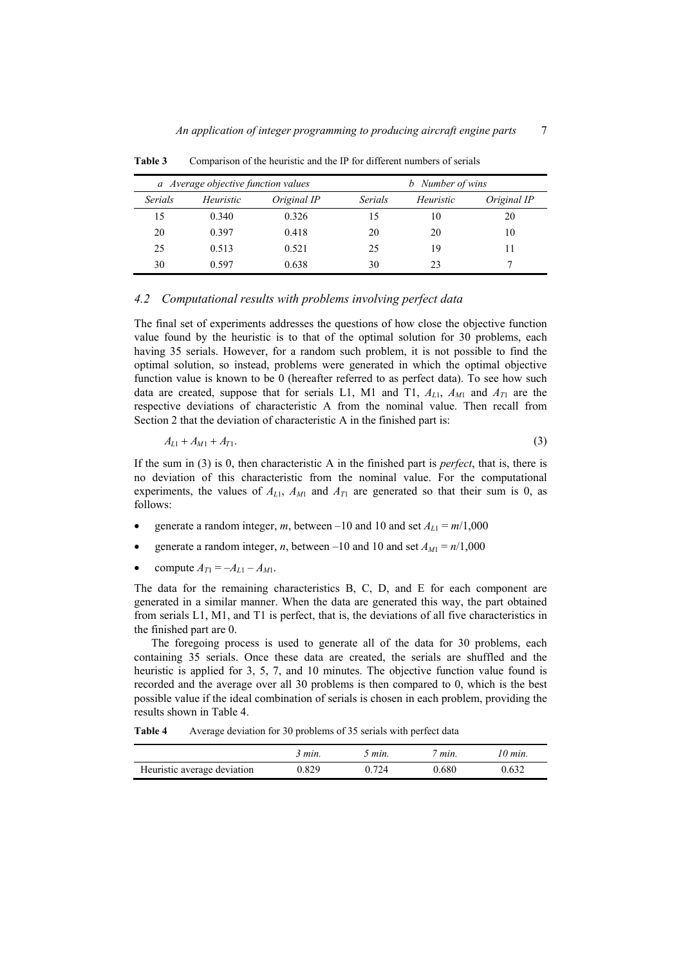| a Average objective function values |           |             | Number of wins<br>b |           |             |
|-------------------------------------|-----------|-------------|---------------------|-----------|-------------|
| Serials                             | Heuristic | Original IP | Serials             | Heuristic | Original IP |
| 15                                  | 0.340     | 0.326       | 15                  | 10        | 20          |
| 20                                  | 0.397     | 0.418       | 20                  | 20        | 10          |
| 25                                  | 0.513     | 0.521       | 25                  | 19        |             |
| 30                                  | 0.597     | 0.638       | 30                  | 23        |             |

**Table 3** Comparison of the heuristic and the IP for different numbers of serials

### *4.2 Computational results with problems involving perfect data*

The final set of experiments addresses the questions of how close the objective function value found by the heuristic is to that of the optimal solution for 30 problems, each having 35 serials. However, for a random such problem, it is not possible to find the optimal solution, so instead, problems were generated in which the optimal objective function value is known to be 0 (hereafter referred to as perfect data). To see how such data are created, suppose that for serials L1, M1 and T1,  $A_{L1}$ ,  $A_{M1}$  and  $A_{T1}$  are the respective deviations of characteristic A from the nominal value. Then recall from Section 2 that the deviation of characteristic A in the finished part is:

$$
A_{L1} + A_{M1} + A_{T1}.\tag{3}
$$

If the sum in (3) is 0, then characteristic A in the finished part is *perfect*, that is, there is no deviation of this characteristic from the nominal value. For the computational experiments, the values of  $A_{L1}$ ,  $A_{M1}$  and  $A_{T1}$  are generated so that their sum is 0, as follows:

- generate a random integer, *m*, between –10 and 10 and set  $A_{L1} = m/1,000$
- e generate a random integer, *n*, between –10 and 10 and set  $A_{M1} = n/1,000$
- compute  $A_{T1} = -A_{L1} A_{M1}$ .

The data for the remaining characteristics B, C, D, and E for each component are generated in a similar manner. When the data are generated this way, the part obtained from serials L1, M1, and T1 is perfect, that is, the deviations of all five characteristics in the finished part are 0.

The foregoing process is used to generate all of the data for 30 problems, each containing 35 serials. Once these data are created, the serials are shuffled and the heuristic is applied for 3, 5, 7, and 10 minutes. The objective function value found is recorded and the average over all 30 problems is then compared to 0, which is the best possible value if the ideal combination of serials is chosen in each problem, providing the results shown in Table 4.

**Table 4** Average deviation for 30 problems of 35 serials with perfect data

|                             | 3 min. | 5 min. | $\tau$ min. | 10 min. |
|-----------------------------|--------|--------|-------------|---------|
| Heuristic average deviation | 0.829  | 0.724  | 0.680       | 0.632   |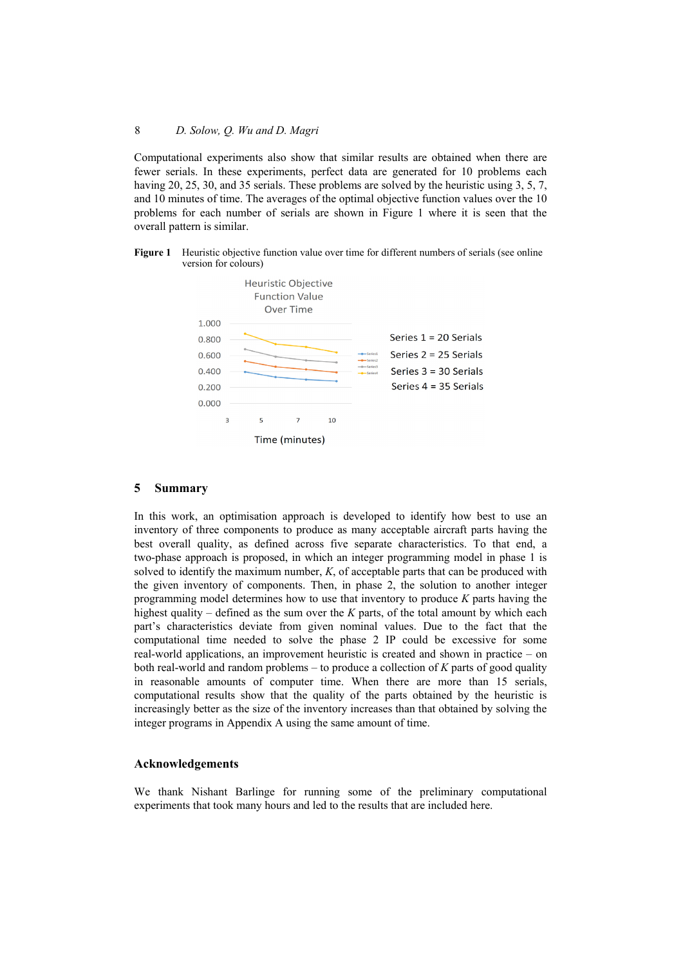Computational experiments also show that similar results are obtained when there are fewer serials. In these experiments, perfect data are generated for 10 problems each having 20, 25, 30, and 35 serials. These problems are solved by the heuristic using 3, 5, 7, and 10 minutes of time. The averages of the optimal objective function values over the 10 problems for each number of serials are shown in Figure 1 where it is seen that the overall pattern is similar.





#### **5 Summary**

In this work, an optimisation approach is developed to identify how best to use an inventory of three components to produce as many acceptable aircraft parts having the best overall quality, as defined across five separate characteristics. To that end, a two-phase approach is proposed, in which an integer programming model in phase 1 is solved to identify the maximum number, *K*, of acceptable parts that can be produced with the given inventory of components. Then, in phase 2, the solution to another integer programming model determines how to use that inventory to produce *K* parts having the highest quality – defined as the sum over the *K* parts, of the total amount by which each part's characteristics deviate from given nominal values. Due to the fact that the computational time needed to solve the phase 2 IP could be excessive for some real-world applications, an improvement heuristic is created and shown in practice – on both real-world and random problems – to produce a collection of *K* parts of good quality in reasonable amounts of computer time. When there are more than 15 serials, computational results show that the quality of the parts obtained by the heuristic is increasingly better as the size of the inventory increases than that obtained by solving the integer programs in Appendix A using the same amount of time.

#### **Acknowledgements**

We thank Nishant Barlinge for running some of the preliminary computational experiments that took many hours and led to the results that are included here.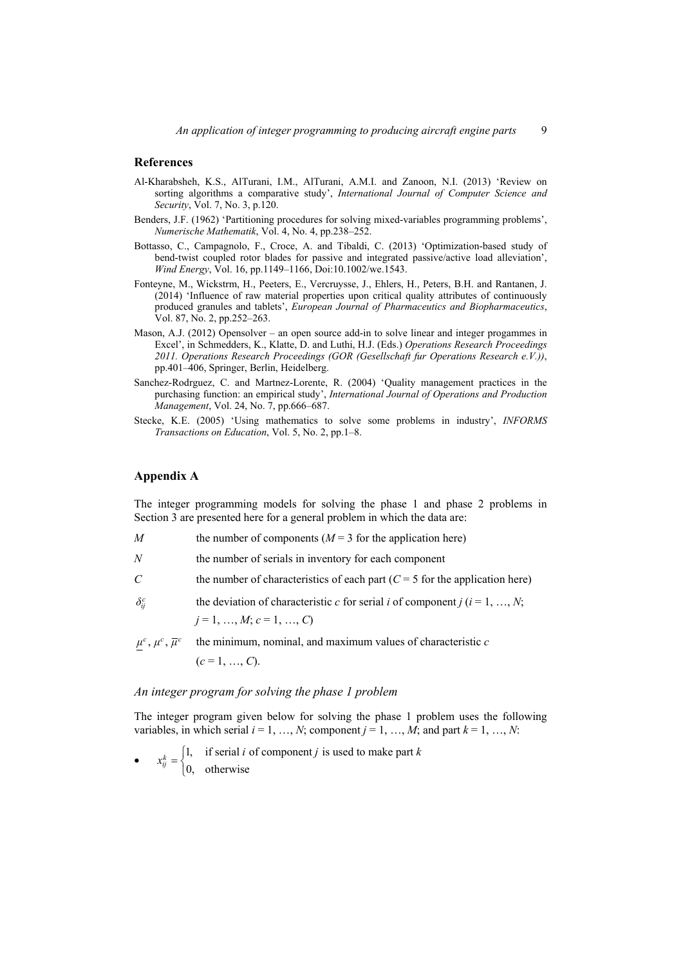#### **References**

- Al-Kharabsheh, K.S., AlTurani, I.M., AlTurani, A.M.I. and Zanoon, N.I. (2013) 'Review on sorting algorithms a comparative study', *International Journal of Computer Science and Security*, Vol. 7, No. 3, p.120.
- Benders, J.F. (1962) 'Partitioning procedures for solving mixed-variables programming problems', *Numerische Mathematik*, Vol. 4, No. 4, pp.238–252.
- Bottasso, C., Campagnolo, F., Croce, A. and Tibaldi, C. (2013) 'Optimization-based study of bend-twist coupled rotor blades for passive and integrated passive/active load alleviation', *Wind Energy*, Vol. 16, pp.1149–1166, Doi:10.1002/we.1543.
- Fonteyne, M., Wickstrm, H., Peeters, E., Vercruysse, J., Ehlers, H., Peters, B.H. and Rantanen, J. (2014) 'Influence of raw material properties upon critical quality attributes of continuously produced granules and tablets', *European Journal of Pharmaceutics and Biopharmaceutics*, Vol. 87, No. 2, pp.252–263.
- Mason, A.J. (2012) Opensolver an open source add-in to solve linear and integer progammes in Excel', in Schmedders, K., Klatte, D. and Luthi, H.J. (Eds.) *Operations Research Proceedings 2011. Operations Research Proceedings (GOR (Gesellschaft fur Operations Research e.V.))*, pp.401–406, Springer, Berlin, Heidelberg.
- Sanchez-Rodrguez, C. and Martnez-Lorente, R. (2004) 'Quality management practices in the purchasing function: an empirical study', *International Journal of Operations and Production Management*, Vol. 24, No. 7, pp.666–687.
- Stecke, K.E. (2005) 'Using mathematics to solve some problems in industry', *INFORMS Transactions on Education*, Vol. 5, No. 2, pp.1–8.

### **Appendix A**

The integer programming models for solving the phase 1 and phase 2 problems in Section 3 are presented here for a general problem in which the data are:

- *M* the number of components  $(M = 3$  for the application here)
- *N* the number of serials in inventory for each component
- *C* the number of characteristics of each part ( $C = 5$  for the application here)
- $\delta_i^c$  the deviation of characteristic *c* for serial *i* of component *j* (*i* = 1, …, *N*;  $j = 1, ..., M$ ;  $c = 1, ..., C$

 $\mu^c$ ,  $\mu^c$ ,  $\overline{\mu}^c$  the minimum, nominal, and maximum values of characteristic *c*  $(c = 1, ..., C)$ .

## *An integer program for solving the phase 1 problem*

The integer program given below for solving the phase 1 problem uses the following variables, in which serial  $i = 1, ..., N$ ; component  $j = 1, ..., M$ ; and part  $k = 1, ..., N$ :

•  $x_{ij}^k = \begin{cases} 1, & \text{if serial } i \text{ of component } j \text{ is used to make part} \\ 0, & \text{otherwise} \end{cases}$ *k ij*  $x_{ij}^k = \begin{cases} 1, & \text{if serial } i \text{ of component } j \text{ is used to make part } k \end{cases}$  $\overline{\mathfrak{l}}$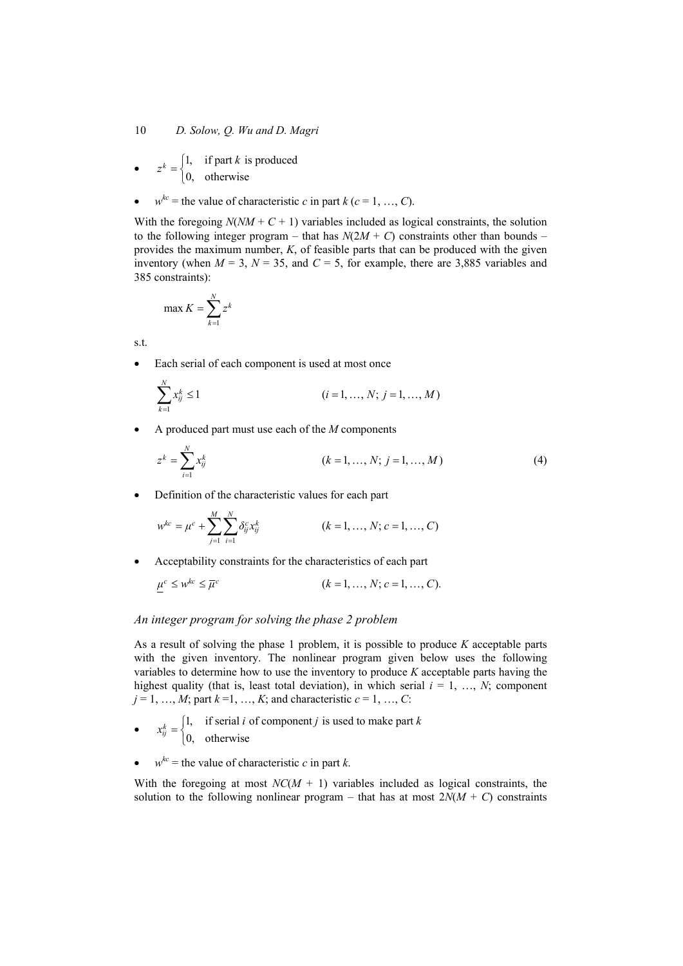- $z^k = \begin{cases} 1, & \text{if part } k \text{ is produced} \\ 0, & \text{otherwise} \end{cases}$  $\overline{\mathfrak{l}}$
- $w^{kc}$  = the value of characteristic *c* in part *k* (*c* = 1, …, *C*).

With the foregoing  $N(NM + C + 1)$  variables included as logical constraints, the solution to the following integer program – that has  $N(2M + C)$  constraints other than bounds – provides the maximum number, *K*, of feasible parts that can be produced with the given inventory (when  $M = 3$ ,  $N = 35$ , and  $C = 5$ , for example, there are 3,885 variables and 385 constraints):

$$
\max K = \sum_{k=1}^{N} z^k
$$

s.t.

*N*

Each serial of each component is used at most once

$$
\sum_{k=1}^{N} x_{ij}^{k} \le 1 \qquad (i = 1, ..., N; j = 1, ..., M)
$$

A produced part must use each of the *M* components

$$
z^{k} = \sum_{i=1}^{N} x_{ij}^{k}
$$
 (k = 1, ..., N; j = 1, ..., M) (4)

• Definition of the characteristic values for each part

$$
w^{kc} = \mu^{c} + \sum_{j=1}^{M} \sum_{i=1}^{N} \delta_{ij}^{c} x_{ij}^{k}
$$
 (k = 1, ..., N; c = 1, ..., C)

Acceptability constraints for the characteristics of each part

$$
\mu^c \leq w^{kc} \leq \overline{\mu}^c \qquad (k = 1, \dots, N; c = 1, \dots, C).
$$

#### *An integer program for solving the phase 2 problem*

As a result of solving the phase 1 problem, it is possible to produce *K* acceptable parts with the given inventory. The nonlinear program given below uses the following variables to determine how to use the inventory to produce *K* acceptable parts having the highest quality (that is, least total deviation), in which serial  $i = 1, \ldots, N$ ; component  $j = 1, ..., M$ ; part  $k = 1, ..., K$ ; and characteristic  $c = 1, ..., C$ :

- $x_{ij}^k = \begin{cases} 1, & \text{if serial } i \text{ of component } j \text{ is used to make part} \\ 0, & \text{otherwise} \end{cases}$  $x_{ij}^k = \begin{cases} 1, & \text{if serial } i \text{ of component } j \text{ is used to make part } k \end{cases}$
- *k ij*  $\overline{\mathfrak{l}}$
- $w^{kc}$  = the value of characteristic *c* in part *k*.

With the foregoing at most  $NC(M + 1)$  variables included as logical constraints, the solution to the following nonlinear program – that has at most  $2N(M + C)$  constraints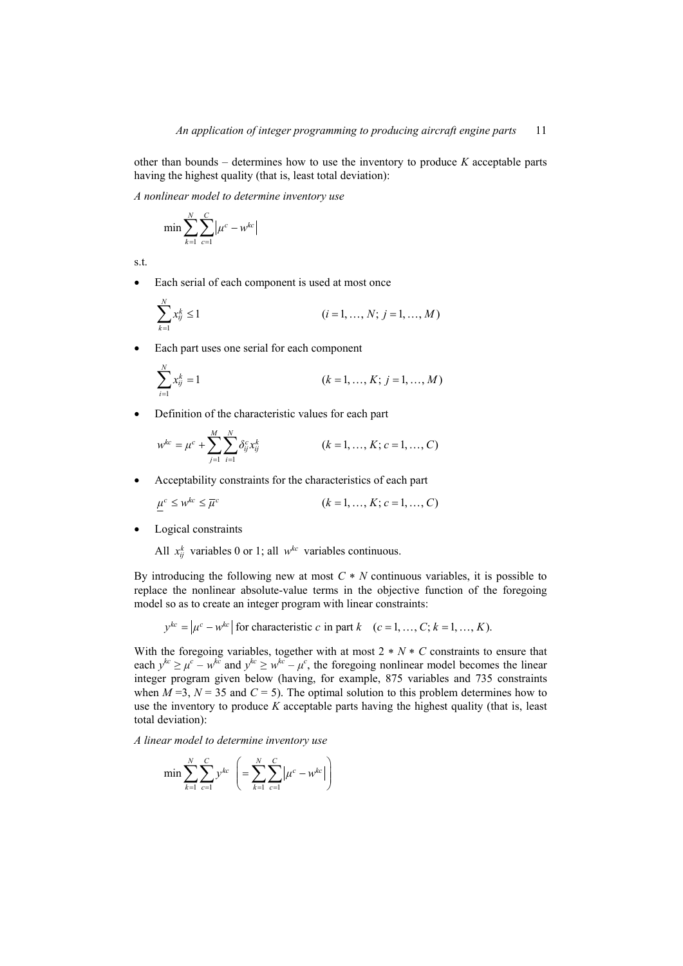other than bounds – determines how to use the inventory to produce *K* acceptable parts having the highest quality (that is, least total deviation):

*A nonlinear model to determine inventory use* 

$$
\min \sum_{k=1}^{N} \sum_{c=1}^{C} \big| \mu^{c} - w^{kc} \big|
$$

s.t.

*N*

• Each serial of each component is used at most once

$$
\sum_{k=1}^{N} x_{ij}^{k} \le 1 \qquad (i = 1, ..., N; j = 1, ..., M)
$$

Each part uses one serial for each component

$$
\sum_{i=1}^{N} x_{ij}^{k} = 1
$$
 (k = 1, ..., K; j = 1, ..., M)

• Definition of the characteristic values for each part

$$
w^{kc} = \mu^c + \sum_{j=1}^{M} \sum_{i=1}^{N} \delta_{ij}^c x_{ij}^k
$$
   
  $(k = 1, ..., K; c = 1, ..., C)$ 

Acceptability constraints for the characteristics of each part

$$
\mu^c \le \mu^{kc} \le \overline{\mu}^c \qquad \qquad (k = 1, \dots, K; c = 1, \dots, C)
$$

Logical constraints

All  $x_{ii}^k$  variables 0 or 1; all  $w^{kc}$  variables continuous.

By introducing the following new at most *C N* continuous variables, it is possible to replace the nonlinear absolute-value terms in the objective function of the foregoing model so as to create an integer program with linear constraints:

$$
y^{kc} = \left| \mu^c - w^{kc} \right|
$$
 for characteristic *c* in part *k* (*c* = 1, ..., *C*; *k* = 1, ..., *K*).

With the foregoing variables, together with at most  $2 * N * C$  constraints to ensure that each  $y^{kc} \ge \mu^c - w^{kc}$  and  $y^{kc} \ge w^{kc} - \mu^c$ , the foregoing nonlinear model becomes the linear integer program given below (having, for example, 875 variables and 735 constraints when  $M = 3$ ,  $N = 35$  and  $C = 5$ ). The optimal solution to this problem determines how to use the inventory to produce *K* acceptable parts having the highest quality (that is, least total deviation):

*A linear model to determine inventory use*

$$
\min \sum_{k=1}^{N} \sum_{c=1}^{C} y^{kc} \left( = \sum_{k=1}^{N} \sum_{c=1}^{C} \left| \mu^{c} - w^{kc} \right| \right)
$$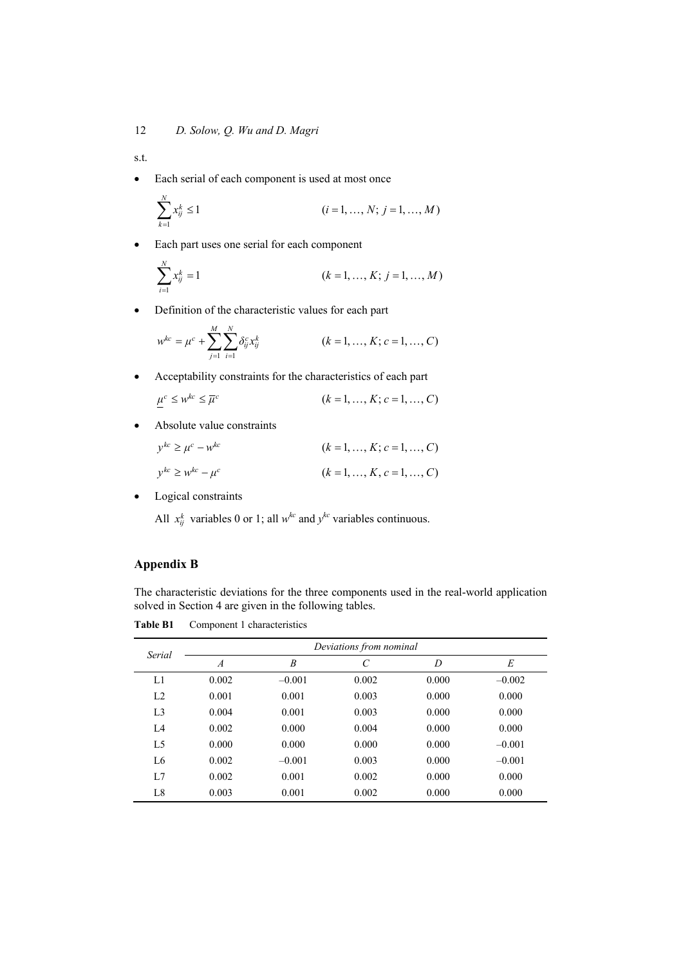s.t.

• Each serial of each component is used at most once

$$
\sum_{k=1}^{N} x_{ij}^{k} \le 1 \qquad (i = 1, ..., N; j = 1, ..., M)
$$

Each part uses one serial for each component

$$
\sum_{i=1}^{N} x_{ij}^{k} = 1
$$
 (k = 1, ..., K; j = 1, ..., M)

Definition of the characteristic values for each part

$$
w^{kc} = \mu^c + \sum_{j=1}^{M} \sum_{i=1}^{N} \delta_{ij}^c x_{ij}^k
$$
 (k = 1, ..., K; c = 1, ..., C)

Acceptability constraints for the characteristics of each part

$$
\mu^c \leq w^{kc} \leq \overline{\mu}^c \qquad (k = 1, \dots, K; c = 1, \dots, C)
$$

Absolute value constraints

$$
y^{kc} \ge \mu^c - w^{kc}
$$
 (k = 1, ..., K; c = 1, ..., C)  

$$
y^{kc} \ge w^{kc} - \mu^c
$$
 (k = 1, ..., K, c = 1, ..., C)

• Logical constraints

All  $x_{ij}^k$  variables 0 or 1; all  $w^{kc}$  and  $y^{kc}$  variables continuous.

### **Appendix B**

The characteristic deviations for the three components used in the real-world application solved in Section 4 are given in the following tables.

**Table B1** Component 1 characteristics

| Serial         | Deviations from nominal |          |       |       |          |  |
|----------------|-------------------------|----------|-------|-------|----------|--|
|                | $\boldsymbol{A}$        | B        | C     | D     | E        |  |
| L1             | 0.002                   | $-0.001$ | 0.002 | 0.000 | $-0.002$ |  |
| L <sub>2</sub> | 0.001                   | 0.001    | 0.003 | 0.000 | 0.000    |  |
| L <sub>3</sub> | 0.004                   | 0.001    | 0.003 | 0.000 | 0.000    |  |
| L4             | 0.002                   | 0.000    | 0.004 | 0.000 | 0.000    |  |
| L <sub>5</sub> | 0.000                   | 0.000    | 0.000 | 0.000 | $-0.001$ |  |
| L <sub>6</sub> | 0.002                   | $-0.001$ | 0.003 | 0.000 | $-0.001$ |  |
| L7             | 0.002                   | 0.001    | 0.002 | 0.000 | 0.000    |  |
| L8             | 0.003                   | 0.001    | 0.002 | 0.000 | 0.000    |  |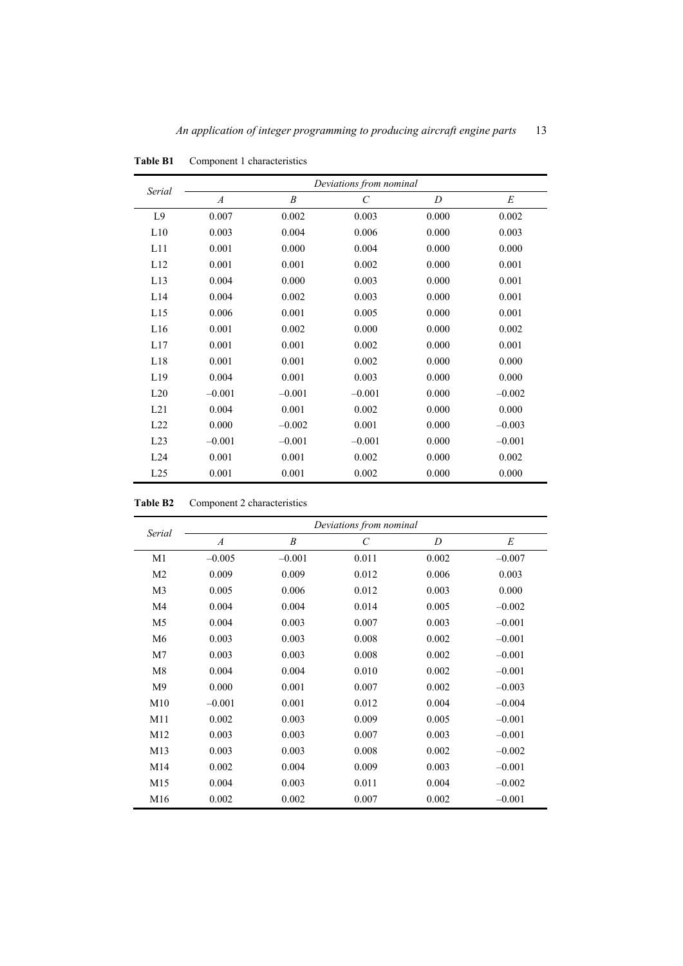|                | Deviations from nominal |                  |                       |       |          |  |
|----------------|-------------------------|------------------|-----------------------|-------|----------|--|
| Serial         | $\overline{A}$          | $\boldsymbol{B}$ | $\mathcal{C}_{0}^{0}$ | D     | E        |  |
| L <sub>9</sub> | 0.007                   | 0.002            | 0.003                 | 0.000 | 0.002    |  |
| L10            | 0.003                   | 0.004            | 0.006                 | 0.000 | 0.003    |  |
| L11            | 0.001                   | 0.000            | 0.004                 | 0.000 | 0.000    |  |
| L12            | 0.001                   | 0.001            | 0.002                 | 0.000 | 0.001    |  |
| L13            | 0.004                   | 0.000            | 0.003                 | 0.000 | 0.001    |  |
| L14            | 0.004                   | 0.002            | 0.003                 | 0.000 | 0.001    |  |
| L15            | 0.006                   | 0.001            | 0.005                 | 0.000 | 0.001    |  |
| L16            | 0.001                   | 0.002            | 0.000                 | 0.000 | 0.002    |  |
| L17            | 0.001                   | 0.001            | 0.002                 | 0.000 | 0.001    |  |
| L18            | 0.001                   | 0.001            | 0.002                 | 0.000 | 0.000    |  |
| L19            | 0.004                   | 0.001            | 0.003                 | 0.000 | 0.000    |  |
| L20            | $-0.001$                | $-0.001$         | $-0.001$              | 0.000 | $-0.002$ |  |
| L21            | 0.004                   | 0.001            | 0.002                 | 0.000 | 0.000    |  |
| L22            | 0.000                   | $-0.002$         | 0.001                 | 0.000 | $-0.003$ |  |
| L23            | $-0.001$                | $-0.001$         | $-0.001$              | 0.000 | $-0.001$ |  |
| L24            | 0.001                   | 0.001            | 0.002                 | 0.000 | 0.002    |  |
| L25            | 0.001                   | 0.001            | 0.002                 | 0.000 | 0.000    |  |

**Table B1** Component 1 characteristics

**Table B2** Component 2 characteristics

|                | Deviations from nominal |                  |                       |       |          |  |
|----------------|-------------------------|------------------|-----------------------|-------|----------|--|
| Serial         | $\boldsymbol{A}$        | $\boldsymbol{B}$ | $\mathcal{C}_{0}^{0}$ | D     | E        |  |
| M1             | $-0.005$                | $-0.001$         | 0.011                 | 0.002 | $-0.007$ |  |
| M <sub>2</sub> | 0.009                   | 0.009            | 0.012                 | 0.006 | 0.003    |  |
| M <sub>3</sub> | 0.005                   | 0.006            | 0.012                 | 0.003 | 0.000    |  |
| M4             | 0.004                   | 0.004            | 0.014                 | 0.005 | $-0.002$ |  |
| M <sub>5</sub> | 0.004                   | 0.003            | 0.007                 | 0.003 | $-0.001$ |  |
| M <sub>6</sub> | 0.003                   | 0.003            | 0.008                 | 0.002 | $-0.001$ |  |
| M <sub>7</sub> | 0.003                   | 0.003            | 0.008                 | 0.002 | $-0.001$ |  |
| M8             | 0.004                   | 0.004            | 0.010                 | 0.002 | $-0.001$ |  |
| M <sub>9</sub> | 0.000                   | 0.001            | 0.007                 | 0.002 | $-0.003$ |  |
| M10            | $-0.001$                | 0.001            | 0.012                 | 0.004 | $-0.004$ |  |
| M11            | 0.002                   | 0.003            | 0.009                 | 0.005 | $-0.001$ |  |
| M12            | 0.003                   | 0.003            | 0.007                 | 0.003 | $-0.001$ |  |
| M13            | 0.003                   | 0.003            | 0.008                 | 0.002 | $-0.002$ |  |
| M14            | 0.002                   | 0.004            | 0.009                 | 0.003 | $-0.001$ |  |
| M15            | 0.004                   | 0.003            | 0.011                 | 0.004 | $-0.002$ |  |
| M16            | 0.002                   | 0.002            | 0.007                 | 0.002 | $-0.001$ |  |